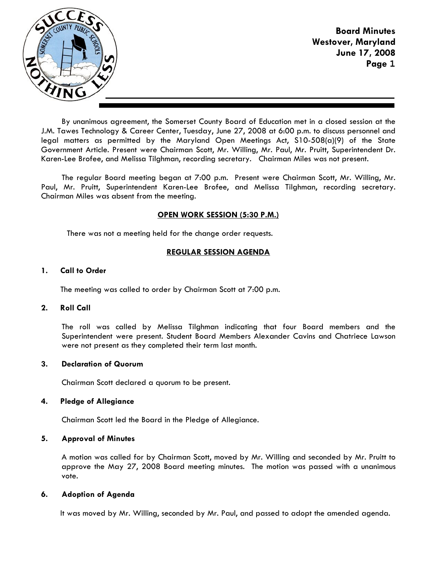

Board Minutes Westover, Maryland June 17, 2008 Page **1**

By unanimous agreement, the Somerset County Board of Education met in a closed session at the J.M. Tawes Technology & Career Center, Tuesday, June 27, 2008 at 6:00 p.m. to discuss personnel and legal matters as permitted by the Maryland Open Meetings Act, S10-508(a)(9) of the State Government Article. Present were Chairman Scott, Mr. Willing, Mr. Paul, Mr. Pruitt, Superintendent Dr. Karen-Lee Brofee, and Melissa Tilghman, recording secretary. Chairman Miles was not present.

The regular Board meeting began at 7:00 p.m. Present were Chairman Scott, Mr. Willing, Mr. Paul, Mr. Pruitt, Superintendent Karen-Lee Brofee, and Melissa Tilghman, recording secretary. Chairman Miles was absent from the meeting.

## OPEN WORK SESSION (5:30 P.M.)

There was not a meeting held for the change order requests.

# REGULAR SESSION AGENDA

## 1. Call to Order

The meeting was called to order by Chairman Scott at 7:00 p.m.

## 2. Roll Call

The roll was called by Melissa Tilghman indicating that four Board members and the Superintendent were present. Student Board Members Alexander Cavins and Chatriece Lawson were not present as they completed their term last month.

## 3. Declaration of Quorum

Chairman Scott declared a quorum to be present.

## 4. Pledge of Allegiance

Chairman Scott led the Board in the Pledge of Allegiance.

## 5. Approval of Minutes

A motion was called for by Chairman Scott, moved by Mr. Willing and seconded by Mr. Pruitt to approve the May 27, 2008 Board meeting minutes. The motion was passed with a unanimous vote.

## 6. Adoption of Agenda

It was moved by Mr. Willing, seconded by Mr. Paul, and passed to adopt the amended agenda.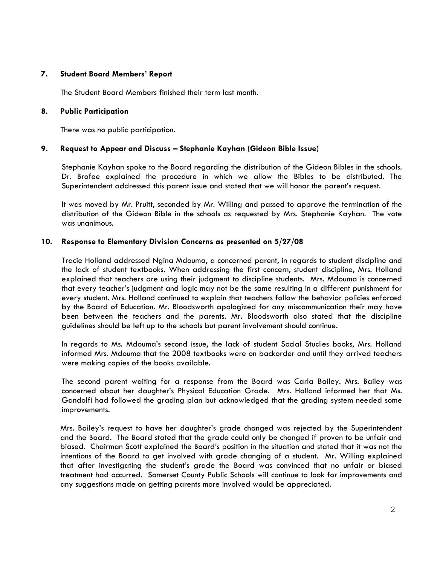## 7. Student Board Members' Report

The Student Board Members finished their term last month.

### 8. Public Participation

There was no public participation.

## 9. Request to Appear and Discuss – Stephanie Kayhan (Gideon Bible Issue)

 Stephanie Kayhan spoke to the Board regarding the distribution of the Gideon Bibles in the schools. Dr. Brofee explained the procedure in which we allow the Bibles to be distributed. The Superintendent addressed this parent issue and stated that we will honor the parent's request.

 It was moved by Mr. Pruitt, seconded by Mr. Willing and passed to approve the termination of the distribution of the Gideon Bible in the schools as requested by Mrs. Stephanie Kayhan. The vote was unanimous.

## 10. Response to Elementary Division Concerns as presented on 5/27/08

Tracie Holland addressed Ngina Mdouma, a concerned parent, in regards to student discipline and the lack of student textbooks. When addressing the first concern, student discipline, Mrs. Holland explained that teachers are using their judgment to discipline students. Mrs. Mdouma is concerned that every teacher's judgment and logic may not be the same resulting in a different punishment for every student. Mrs. Holland continued to explain that teachers follow the behavior policies enforced by the Board of Education. Mr. Bloodsworth apologized for any miscommunication their may have been between the teachers and the parents. Mr. Bloodsworth also stated that the discipline guidelines should be left up to the schools but parent involvement should continue.

In regards to Ms. Mdouma's second issue, the lack of student Social Studies books, Mrs. Holland informed Mrs. Mdouma that the 2008 textbooks were on backorder and until they arrived teachers were making copies of the books available.

The second parent waiting for a response from the Board was Carla Bailey. Mrs. Bailey was concerned about her daughter's Physical Education Grade. Mrs. Holland informed her that Ms. Gandolfi had followed the grading plan but acknowledged that the grading system needed some improvements.

Mrs. Bailey's request to have her daughter's grade changed was rejected by the Superintendent and the Board. The Board stated that the grade could only be changed if proven to be unfair and biased. Chairman Scott explained the Board's position in the situation and stated that it was not the intentions of the Board to get involved with grade changing of a student. Mr. Willing explained that after investigating the student's grade the Board was convinced that no unfair or biased treatment had occurred. Somerset County Public Schools will continue to look for improvements and any suggestions made on getting parents more involved would be appreciated.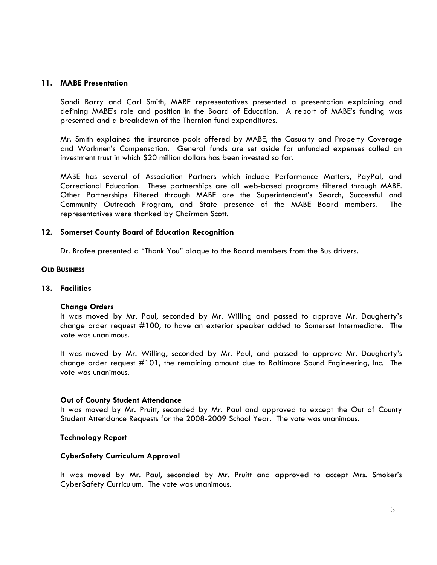#### 11. MABE Presentation

Sandi Barry and Carl Smith, MABE representatives presented a presentation explaining and defining MABE's role and position in the Board of Education. A report of MABE's funding was presented and a breakdown of the Thornton fund expenditures.

Mr. Smith explained the insurance pools offered by MABE, the Casualty and Property Coverage and Workmen's Compensation. General funds are set aside for unfunded expenses called an investment trust in which \$20 million dollars has been invested so far.

MABE has several of Association Partners which include Performance Matters, PayPal, and Correctional Education. These partnerships are all web-based programs filtered through MABE. Other Partnerships filtered through MABE are the Superintendent's Search, Successful and Community Outreach Program, and State presence of the MABE Board members. The representatives were thanked by Chairman Scott.

## 12. Somerset County Board of Education Recognition

Dr. Brofee presented a "Thank You" plaque to the Board members from the Bus drivers.

#### **OLD BUSINESS**

#### 13. Facilities

#### Change Orders

It was moved by Mr. Paul, seconded by Mr. Willing and passed to approve Mr. Daugherty's change order request #100, to have an exterior speaker added to Somerset Intermediate. The vote was unanimous.

It was moved by Mr. Willing, seconded by Mr. Paul, and passed to approve Mr. Daugherty's change order request #101, the remaining amount due to Baltimore Sound Engineering, Inc. The vote was unanimous.

#### Out of County Student Attendance

It was moved by Mr. Pruitt, seconded by Mr. Paul and approved to except the Out of County Student Attendance Requests for the 2008-2009 School Year. The vote was unanimous.

## Technology Report

## CyberSafety Curriculum Approval

It was moved by Mr. Paul, seconded by Mr. Pruitt and approved to accept Mrs. Smoker's CyberSafety Curriculum. The vote was unanimous.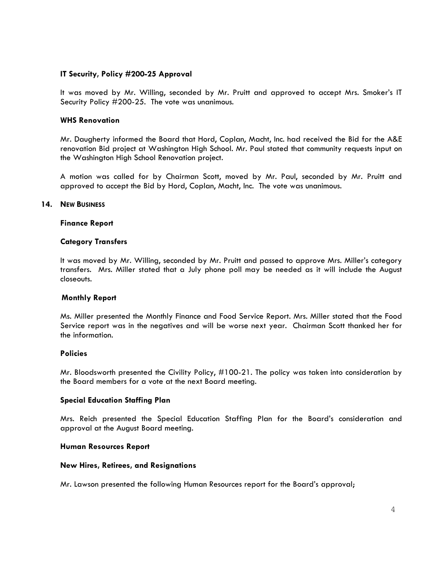### IT Security, Policy #200-25 Approval

It was moved by Mr. Willing, seconded by Mr. Pruitt and approved to accept Mrs. Smoker's IT Security Policy #200-25. The vote was unanimous.

#### WHS Renovation

Mr. Daugherty informed the Board that Hord, Coplan, Macht, Inc. had received the Bid for the A&E renovation Bid project at Washington High School. Mr. Paul stated that community requests input on the Washington High School Renovation project.

A motion was called for by Chairman Scott, moved by Mr. Paul, seconded by Mr. Pruitt and approved to accept the Bid by Hord, Coplan, Macht, Inc. The vote was unanimous.

#### 14. NEW BUSINESS

#### Finance Report

#### Category Transfers

It was moved by Mr. Willing, seconded by Mr. Pruitt and passed to approve Mrs. Miller's category transfers. Mrs. Miller stated that a July phone poll may be needed as it will include the August closeouts.

#### Monthly Report

Ms. Miller presented the Monthly Finance and Food Service Report. Mrs. Miller stated that the Food Service report was in the negatives and will be worse next year. Chairman Scott thanked her for the information.

#### Policies

Mr. Bloodsworth presented the Civility Policy, #100-21. The policy was taken into consideration by the Board members for a vote at the next Board meeting.

#### Special Education Staffing Plan

Mrs. Reich presented the Special Education Staffing Plan for the Board's consideration and approval at the August Board meeting.

#### Human Resources Report

#### New Hires, Retirees, and Resignations

Mr. Lawson presented the following Human Resources report for the Board's approval;